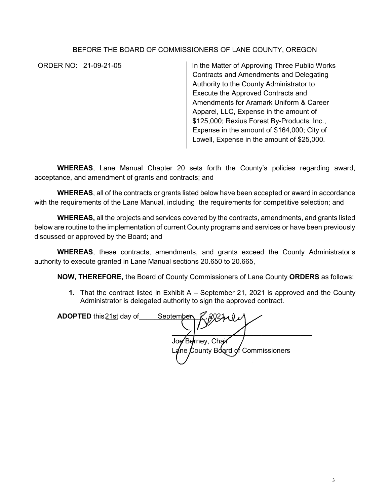## BEFORE THE BOARD OF COMMISSIONERS OF LANE COUNTY, OREGON

ORDER NO: 21-09-21-05 In the Matter of Approving Three Public Works Contracts and Amendments and Delegating Authority to the County Administrator to Execute the Approved Contracts and Amendments for Aramark Uniform & Career Apparel, LLC, Expense in the amount of \$125,000; Rexius Forest By-Products, Inc., Expense in the amount of \$164,000; City of Lowell, Expense in the amount of \$25,000.

**WHEREAS**, Lane Manual Chapter 20 sets forth the County's policies regarding award, acceptance, and amendment of grants and contracts; and

**WHEREAS**, all of the contracts or grants listed below have been accepted or award in accordance with the requirements of the Lane Manual, including the requirements for competitive selection; and

**WHEREAS,** all the projects and services covered by the contracts, amendments, and grants listed below are routine to the implementation of current County programs and services or have been previously discussed or approved by the Board; and

**WHEREAS**, these contracts, amendments, and grants exceed the County Administrator's authority to execute granted in Lane Manual sections 20.650 to 20.665,

**NOW, THEREFORE,** the Board of County Commissioners of Lane County **ORDERS** as follows:

**1.** That the contract listed in Exhibit A – September 21, 2021 is approved and the County Administrator is delegated authority to sign the approved contract.

| <b>ADOPTED</b> this 21st day of | 492101<br>September                |
|---------------------------------|------------------------------------|
|                                 |                                    |
|                                 | Joe Berney, Chair                  |
|                                 | Lane County Board of Commissioners |
|                                 |                                    |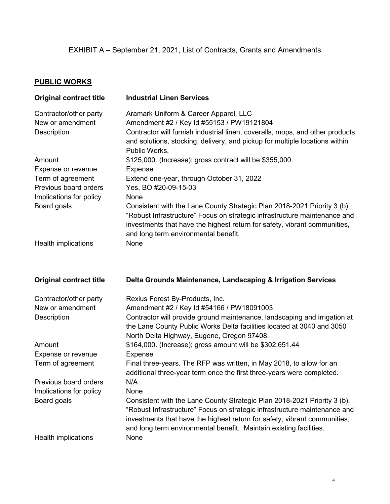## **PUBLIC WORKS**

| <b>Original contract title</b>                            | <b>Industrial Linen Services</b>                                                                                                                                                                                                                                                                                 |
|-----------------------------------------------------------|------------------------------------------------------------------------------------------------------------------------------------------------------------------------------------------------------------------------------------------------------------------------------------------------------------------|
| Contractor/other party<br>New or amendment<br>Description | Aramark Uniform & Career Apparel, LLC<br>Amendment #2 / Key Id #55153 / PW19121804<br>Contractor will furnish industrial linen, coveralls, mops, and other products<br>and solutions, stocking, delivery, and pickup for multiple locations within<br>Public Works.                                              |
| Amount                                                    | \$125,000. (Increase); gross contract will be \$355,000.                                                                                                                                                                                                                                                         |
| Expense or revenue                                        | <b>Expense</b>                                                                                                                                                                                                                                                                                                   |
| Term of agreement<br>Previous board orders                | Extend one-year, through October 31, 2022<br>Yes, BO #20-09-15-03                                                                                                                                                                                                                                                |
| Implications for policy                                   | None                                                                                                                                                                                                                                                                                                             |
| Board goals                                               | Consistent with the Lane County Strategic Plan 2018-2021 Priority 3 (b),<br>"Robust Infrastructure" Focus on strategic infrastructure maintenance and<br>investments that have the highest return for safety, vibrant communities,<br>and long term environmental benefit.                                       |
| Health implications                                       | None                                                                                                                                                                                                                                                                                                             |
|                                                           |                                                                                                                                                                                                                                                                                                                  |
| <b>Original contract title</b>                            | Delta Grounds Maintenance, Landscaping & Irrigation Services                                                                                                                                                                                                                                                     |
| Contractor/other party                                    | Rexius Forest By-Products, Inc.                                                                                                                                                                                                                                                                                  |
| New or amendment                                          | Amendment #2 / Key ld #54166 / PW18091003                                                                                                                                                                                                                                                                        |
| Description                                               | Contractor will provide ground maintenance, landscaping and irrigation at<br>the Lane County Public Works Delta facilities located at 3040 and 3050<br>North Delta Highway, Eugene, Oregon 97408.                                                                                                                |
| Amount                                                    | \$164,000. (Increase); gross amount will be \$302,651.44                                                                                                                                                                                                                                                         |
| Expense or revenue                                        | <b>Expense</b>                                                                                                                                                                                                                                                                                                   |
| Term of agreement                                         | Final three-years. The RFP was written, in May 2018, to allow for an<br>additional three-year term once the first three-years were completed.                                                                                                                                                                    |
| Previous board orders                                     | N/A                                                                                                                                                                                                                                                                                                              |
| Implications for policy<br>Board goals                    | None<br>Consistent with the Lane County Strategic Plan 2018-2021 Priority 3 (b),<br>"Robust Infrastructure" Focus on strategic infrastructure maintenance and<br>investments that have the highest return for safety, vibrant communities,<br>and long term environmental benefit. Maintain existing facilities. |